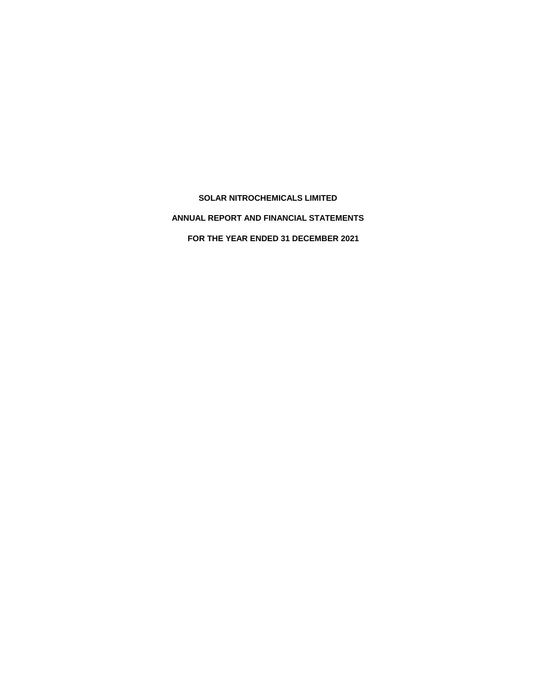**SOLAR NITROCHEMICALS LIMITED ANNUAL REPORT AND FINANCIAL STATEMENTS FOR THE YEAR ENDED 31 DECEMBER 2021**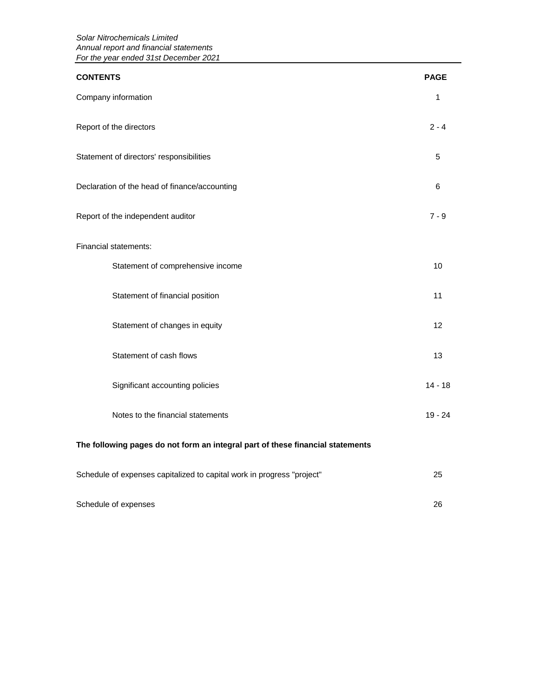| <b>CONTENTS</b>                                                                | <b>PAGE</b> |
|--------------------------------------------------------------------------------|-------------|
| Company information                                                            | 1           |
| Report of the directors                                                        | $2 - 4$     |
| Statement of directors' responsibilities                                       | 5           |
| Declaration of the head of finance/accounting                                  | 6           |
| Report of the independent auditor                                              | $7 - 9$     |
| Financial statements:                                                          |             |
| Statement of comprehensive income                                              | 10          |
| Statement of financial position                                                | 11          |
| Statement of changes in equity                                                 | 12          |
| Statement of cash flows                                                        | 13          |
| Significant accounting policies                                                | $14 - 18$   |
| Notes to the financial statements                                              | $19 - 24$   |
| The following pages do not form an integral part of these financial statements |             |
|                                                                                |             |

| Schedule of expenses capitalized to capital work in progress "project" |    |
|------------------------------------------------------------------------|----|
|                                                                        |    |
| Schedule of expenses                                                   | 26 |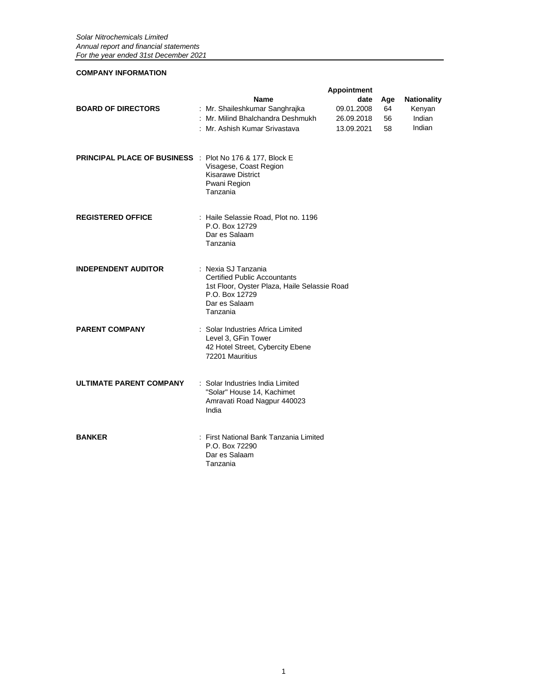### **COMPANY INFORMATION**

|                                                          |                                                                                                                                                           | <b>Appointment</b> |     |                    |
|----------------------------------------------------------|-----------------------------------------------------------------------------------------------------------------------------------------------------------|--------------------|-----|--------------------|
|                                                          | <b>Name</b>                                                                                                                                               | date               | Age | <b>Nationality</b> |
| <b>BOARD OF DIRECTORS</b>                                | : Mr. Shaileshkumar Sanghrajka                                                                                                                            | 09.01.2008         | 64  | Kenyan             |
|                                                          | : Mr. Milind Bhalchandra Deshmukh                                                                                                                         | 26.09.2018         | 56  | Indian             |
|                                                          | : Mr. Ashish Kumar Srivastava                                                                                                                             | 13.09.2021         | 58  | Indian             |
| PRINCIPAL PLACE OF BUSINESS : Plot No 176 & 177, Block E | Visagese, Coast Region<br><b>Kisarawe District</b><br>Pwani Region<br>Tanzania                                                                            |                    |     |                    |
| <b>REGISTERED OFFICE</b>                                 | : Haile Selassie Road, Plot no. 1196<br>P.O. Box 12729<br>Dar es Salaam<br>Tanzania                                                                       |                    |     |                    |
| <b>INDEPENDENT AUDITOR</b>                               | : Nexia SJ Tanzania<br><b>Certified Public Accountants</b><br>1st Floor, Oyster Plaza, Haile Selassie Road<br>P.O. Box 12729<br>Dar es Salaam<br>Tanzania |                    |     |                    |
| <b>PARENT COMPANY</b>                                    | : Solar Industries Africa Limited<br>Level 3, GFin Tower<br>42 Hotel Street, Cybercity Ebene<br>72201 Mauritius                                           |                    |     |                    |
| <b>ULTIMATE PARENT COMPANY</b>                           | : Solar Industries India Limited<br>"Solar" House 14, Kachimet<br>Amravati Road Nagpur 440023<br>India                                                    |                    |     |                    |
| <b>BANKER</b>                                            | : First National Bank Tanzania Limited<br>P.O. Box 72290<br>Dar es Salaam<br>Tanzania                                                                     |                    |     |                    |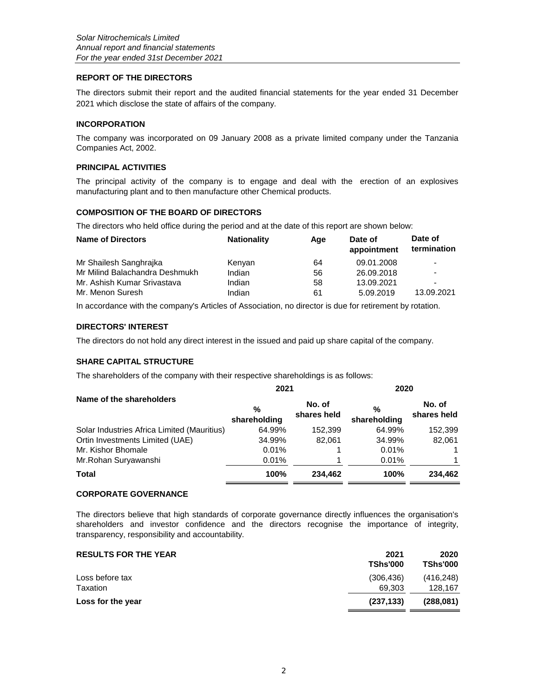### **REPORT OF THE DIRECTORS**

The directors submit their report and the audited financial statements for the year ended 31 December 2021 which disclose the state of affairs of the company.

### **INCORPORATION**

The company was incorporated on 09 January 2008 as a private limited company under the Tanzania Companies Act, 2002.

### **PRINCIPAL ACTIVITIES**

The principal activity of the company is to engage and deal with the erection of an explosives manufacturing plant and to then manufacture other Chemical products.

### **COMPOSITION OF THE BOARD OF DIRECTORS**

The directors who held office during the period and at the date of this report are shown below:

| <b>Name of Directors</b>       | <b>Nationality</b> | Aae | Date of<br>appointment | Date of<br>termination   |
|--------------------------------|--------------------|-----|------------------------|--------------------------|
| Mr Shailesh Sanghraika         | Kenyan             | 64  | 09.01.2008             | $\overline{\phantom{a}}$ |
| Mr Milind Balachandra Deshmukh | Indian             | 56  | 26.09.2018             | $\overline{\phantom{a}}$ |
| Mr. Ashish Kumar Srivastava    | Indian             | 58  | 13.09.2021             | $\overline{\phantom{a}}$ |
| Mr. Menon Suresh               | Indian             | 61  | 5.09.2019              | 13.09.2021               |

In accordance with the company's Articles of Association, no director is due for retirement by rotation.

### **DIRECTORS' INTEREST**

The directors do not hold any direct interest in the issued and paid up share capital of the company.

### **SHARE CAPITAL STRUCTURE**

The shareholders of the company with their respective shareholdings is as follows:

|                                             | 2021                 |                       | 2020                 |                       |
|---------------------------------------------|----------------------|-----------------------|----------------------|-----------------------|
| Name of the shareholders                    | $\%$<br>shareholding | No. of<br>shares held | $\%$<br>shareholding | No. of<br>shares held |
| Solar Industries Africa Limited (Mauritius) | 64.99%               | 152,399               | 64.99%               | 152,399               |
| Ortin Investments Limited (UAE)             | 34.99%               | 82.061                | 34.99%               | 82.061                |
| Mr. Kishor Bhomale                          | 0.01%                |                       | 0.01%                |                       |
| Mr.Rohan Suryawanshi                        | 0.01%                |                       | 0.01%                |                       |
| <b>Total</b>                                | 100%                 | 234.462               | 100%                 | 234.462               |

### **CORPORATE GOVERNANCE**

The directors believe that high standards of corporate governance directly influences the organisation's shareholders and investor confidence and the directors recognise the importance of integrity, transparency, responsibility and accountability.

| <b>RESULTS FOR THE YEAR</b> | 2021<br><b>TShs'000</b> | 2020<br><b>TShs'000</b> |
|-----------------------------|-------------------------|-------------------------|
| Loss before tax             | (306.436)               | (416, 248)              |
| Taxation                    | 69.303                  | 128,167                 |
| Loss for the year           | (237.133)               | (288.081)               |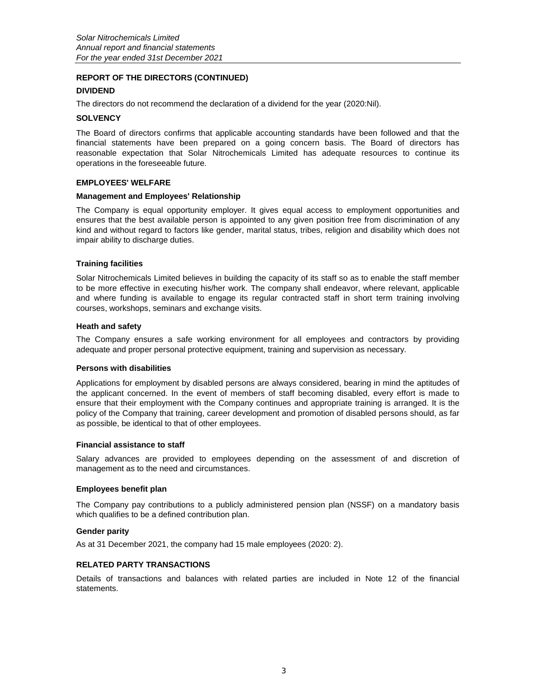### **REPORT OF THE DIRECTORS (CONTINUED)**

### **DIVIDEND**

The directors do not recommend the declaration of a dividend for the year (2020:Nil).

#### **SOLVENCY**

The Board of directors confirms that applicable accounting standards have been followed and that the financial statements have been prepared on a going concern basis. The Board of directors has reasonable expectation that Solar Nitrochemicals Limited has adequate resources to continue its operations in the foreseeable future.

#### **EMPLOYEES' WELFARE**

#### **Management and Employees' Relationship**

The Company is equal opportunity employer. It gives equal access to employment opportunities and ensures that the best available person is appointed to any given position free from discrimination of any kind and without regard to factors like gender, marital status, tribes, religion and disability which does not impair ability to discharge duties.

### **Training facilities**

Solar Nitrochemicals Limited believes in building the capacity of its staff so as to enable the staff member to be more effective in executing his/her work. The company shall endeavor, where relevant, applicable and where funding is available to engage its regular contracted staff in short term training involving courses, workshops, seminars and exchange visits.

#### **Heath and safety**

The Company ensures a safe working environment for all employees and contractors by providing adequate and proper personal protective equipment, training and supervision as necessary.

#### **Persons with disabilities**

Applications for employment by disabled persons are always considered, bearing in mind the aptitudes of the applicant concerned. In the event of members of staff becoming disabled, every effort is made to ensure that their employment with the Company continues and appropriate training is arranged. It is the policy of the Company that training, career development and promotion of disabled persons should, as far as possible, be identical to that of other employees.

#### **Financial assistance to staff**

Salary advances are provided to employees depending on the assessment of and discretion of management as to the need and circumstances.

#### **Employees benefit plan**

The Company pay contributions to a publicly administered pension plan (NSSF) on a mandatory basis which qualifies to be a defined contribution plan.

#### **Gender parity**

As at 31 December 2021, the company had 15 male employees (2020: 2).

### **RELATED PARTY TRANSACTIONS**

Details of transactions and balances with related parties are included in Note 12 of the financial statements.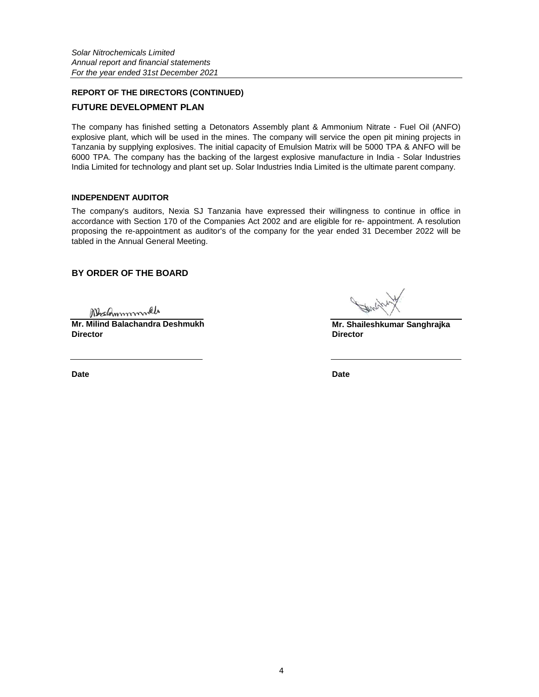# **REPORT OF THE DIRECTORS (CONTINUED) FUTURE DEVELOPMENT PLAN**

The company has finished setting a Detonators Assembly plant & Ammonium Nitrate - Fuel Oil (ANFO) explosive plant, which will be used in the mines. The company will service the open pit mining projects in Tanzania by supplying explosives. The initial capacity of Emulsion Matrix will be 5000 TPA & ANFO will be 6000 TPA. The company has the backing of the largest explosive manufacture in India - Solar Industries India Limited for technology and plant set up. Solar Industries India Limited is the ultimate parent company.

### **INDEPENDENT AUDITOR**

The company's auditors, Nexia SJ Tanzania have expressed their willingness to continue in office in accordance with Section 170 of the Companies Act 2002 and are eligible for re- appointment. A resolution proposing the re-appointment as auditor's of the company for the year ended 31 December 2022 will be tabled in the Annual General Meeting.

### **BY ORDER OF THE BOARD**

Mechnmmml

**Mr. Milind Balachandra Deshmukh Director Director**

**Date Date**

**Mr. Shaileshkumar Sanghrajka**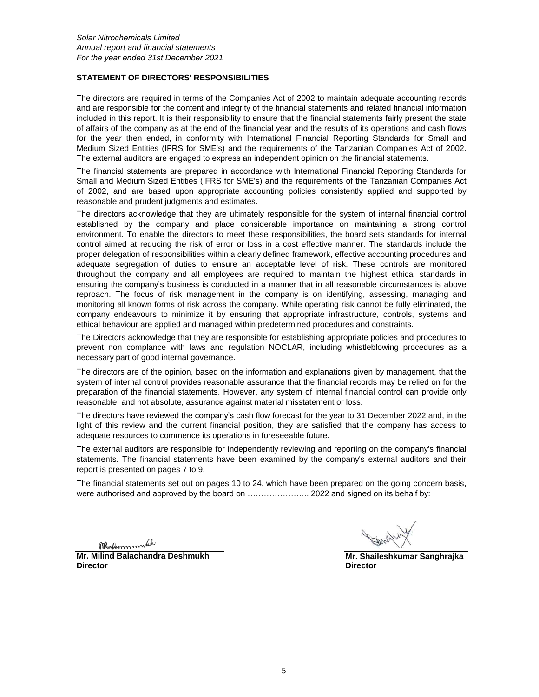### **STATEMENT OF DIRECTORS' RESPONSIBILITIES**

The directors are required in terms of the Companies Act of 2002 to maintain adequate accounting records and are responsible for the content and integrity of the financial statements and related financial information included in this report. It is their responsibility to ensure that the financial statements fairly present the state of affairs of the company as at the end of the financial year and the results of its operations and cash flows for the year then ended, in conformity with International Financial Reporting Standards for Small and Medium Sized Entities (IFRS for SME's) and the requirements of the Tanzanian Companies Act of 2002. The external auditors are engaged to express an independent opinion on the financial statements.

The financial statements are prepared in accordance with International Financial Reporting Standards for Small and Medium Sized Entities (IFRS for SME's) and the requirements of the Tanzanian Companies Act of 2002, and are based upon appropriate accounting policies consistently applied and supported by reasonable and prudent judgments and estimates.

The directors acknowledge that they are ultimately responsible for the system of internal financial control established by the company and place considerable importance on maintaining a strong control environment. To enable the directors to meet these responsibilities, the board sets standards for internal control aimed at reducing the risk of error or loss in a cost effective manner. The standards include the proper delegation of responsibilities within a clearly defined framework, effective accounting procedures and adequate segregation of duties to ensure an acceptable level of risk. These controls are monitored throughout the company and all employees are required to maintain the highest ethical standards in ensuring the company's business is conducted in a manner that in all reasonable circumstances is above reproach. The focus of risk management in the company is on identifying, assessing, managing and monitoring all known forms of risk across the company. While operating risk cannot be fully eliminated, the company endeavours to minimize it by ensuring that appropriate infrastructure, controls, systems and ethical behaviour are applied and managed within predetermined procedures and constraints.

The Directors acknowledge that they are responsible for establishing appropriate policies and procedures to prevent non complance with laws and regulation NOCLAR, including whistleblowing procedures as a necessary part of good internal governance.

The directors are of the opinion, based on the information and explanations given by management, that the system of internal control provides reasonable assurance that the financial records may be relied on for the preparation of the financial statements. However, any system of internal financial control can provide only reasonable, and not absolute, assurance against material misstatement or loss.

The directors have reviewed the company's cash flow forecast for the year to 31 December 2022 and, in the light of this review and the current financial position, they are satisfied that the company has access to adequate resources to commence its operations in foreseeable future.

The external auditors are responsible for independently reviewing and reporting on the company's financial statements. The financial statements have been examined by the company's external auditors and their report is presented on pages 7 to 9.

The financial statements set out on pages 10 to 24, which have been prepared on the going concern basis, were authorised and approved by the board on ....................... 2022 and signed on its behalf by:

Medmmmmleh

**Mr. Milind Balachandra Deshmukh Director Director**

**Mr. Shaileshkumar Sanghrajka**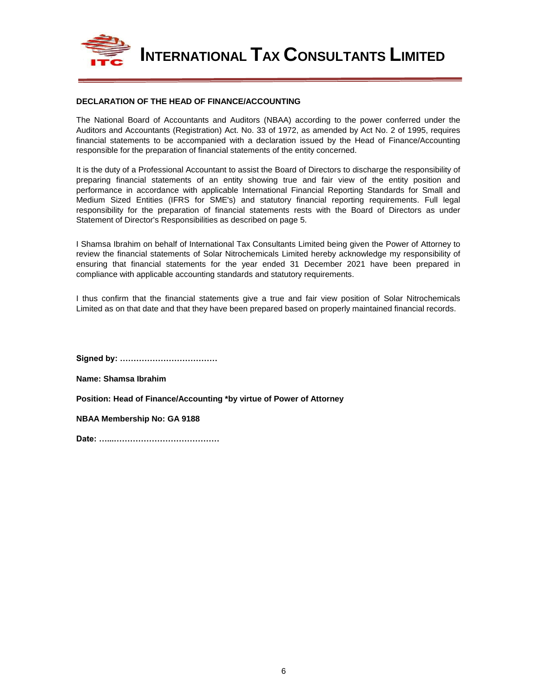

**INTERNATIONAL TAX CONSULTANTS LIMITED**

### **DECLARATION OF THE HEAD OF FINANCE/ACCOUNTING**

The National Board of Accountants and Auditors (NBAA) according to the power conferred under the Auditors and Accountants (Registration) Act. No. 33 of 1972, as amended by Act No. 2 of 1995, requires financial statements to be accompanied with a declaration issued by the Head of Finance/Accounting responsible for the preparation of financial statements of the entity concerned.

It is the duty of a Professional Accountant to assist the Board of Directors to discharge the responsibility of preparing financial statements of an entity showing true and fair view of the entity position and performance in accordance with applicable International Financial Reporting Standards for Small and Medium Sized Entities (IFRS for SME's) and statutory financial reporting requirements. Full legal responsibility for the preparation of financial statements rests with the Board of Directors as under Statement of Director's Responsibilities as described on page 5.

I Shamsa Ibrahim on behalf of International Tax Consultants Limited being given the Power of Attorney to review the financial statements of Solar Nitrochemicals Limited hereby acknowledge my responsibility of ensuring that financial statements for the year ended 31 December 2021 have been prepared in compliance with applicable accounting standards and statutory requirements.

I thus confirm that the financial statements give a true and fair view position of Solar Nitrochemicals Limited as on that date and that they have been prepared based on properly maintained financial records.

**Signed by: ………………………………**

**Name: Shamsa Ibrahim**

**Position: Head of Finance/Accounting \*by virtue of Power of Attorney**

**NBAA Membership No: GA 9188**

**Date: …...…………………………………**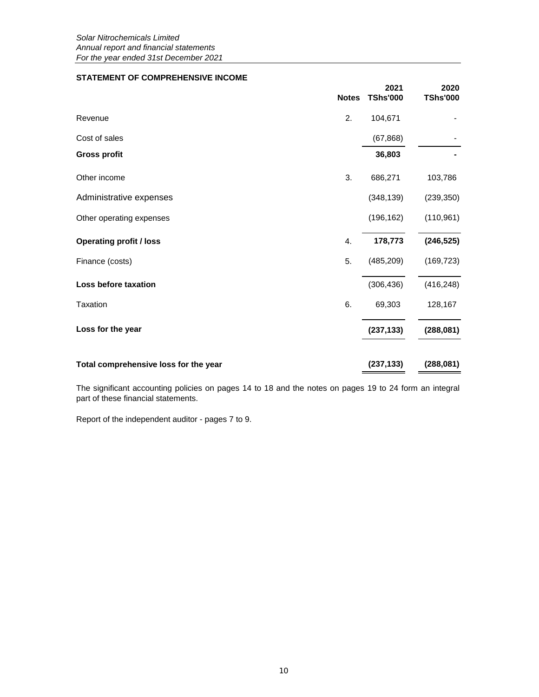### **STATEMENT OF COMPREHENSIVE INCOME**

|                                       | <b>Notes</b> | 2021<br><b>TShs'000</b> | 2020<br><b>TShs'000</b> |
|---------------------------------------|--------------|-------------------------|-------------------------|
| Revenue                               | 2.           | 104,671                 |                         |
| Cost of sales                         |              | (67, 868)               |                         |
| <b>Gross profit</b>                   |              | 36,803                  |                         |
| Other income                          | 3.           | 686,271                 | 103,786                 |
| Administrative expenses               |              | (348, 139)              | (239, 350)              |
| Other operating expenses              |              | (196, 162)              | (110, 961)              |
| <b>Operating profit / loss</b>        | 4.           | 178,773                 | (246, 525)              |
| Finance (costs)                       | 5.           | (485, 209)              | (169, 723)              |
| Loss before taxation                  |              | (306, 436)              | (416, 248)              |
| <b>Taxation</b>                       | 6.           | 69,303                  | 128,167                 |
| Loss for the year                     |              | (237, 133)              | (288, 081)              |
| Total comprehensive loss for the year |              | (237, 133)              | (288, 081)              |

The significant accounting policies on pages 14 to 18 and the notes on pages 19 to 24 form an integral part of these financial statements.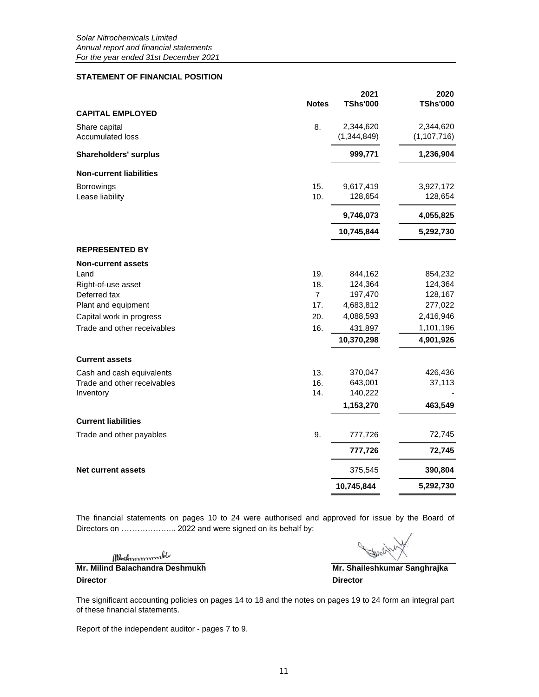### **STATEMENT OF FINANCIAL POSITION**

|                                   | <b>Notes</b>   | 2021<br><b>TShs'000</b>  | 2020<br><b>TShs'000</b>    |
|-----------------------------------|----------------|--------------------------|----------------------------|
| <b>CAPITAL EMPLOYED</b>           |                |                          |                            |
| Share capital<br>Accumulated loss | 8.             | 2,344,620<br>(1,344,849) | 2,344,620<br>(1, 107, 716) |
| <b>Shareholders' surplus</b>      |                | 999,771                  | 1,236,904                  |
| <b>Non-current liabilities</b>    |                |                          |                            |
| Borrowings                        | 15.            | 9,617,419                | 3,927,172                  |
| Lease liability                   | 10.            | 128,654                  | 128,654                    |
|                                   |                | 9,746,073                | 4,055,825                  |
|                                   |                | 10,745,844               | 5,292,730                  |
| <b>REPRESENTED BY</b>             |                |                          |                            |
| <b>Non-current assets</b>         |                |                          |                            |
| Land                              | 19.            | 844,162                  | 854,232                    |
| Right-of-use asset                | 18.            | 124,364                  | 124,364                    |
| Deferred tax                      | $\overline{7}$ | 197,470                  | 128,167                    |
| Plant and equipment               | 17.            | 4,683,812                | 277,022                    |
| Capital work in progress          | 20.            | 4,088,593                | 2,416,946                  |
| Trade and other receivables       | 16.            | 431,897                  | 1,101,196                  |
|                                   |                | 10,370,298               | 4,901,926                  |
| <b>Current assets</b>             |                |                          |                            |
| Cash and cash equivalents         | 13.            | 370,047                  | 426,436                    |
| Trade and other receivables       | 16.            | 643,001                  | 37,113                     |
| Inventory                         | 14.            | 140,222                  |                            |
|                                   |                | 1,153,270                | 463,549                    |
| <b>Current liabilities</b>        |                |                          |                            |
| Trade and other payables          | 9.             | 777,726                  | 72,745                     |
|                                   |                | 777,726                  | 72,745                     |
| <b>Net current assets</b>         |                | 375,545                  | 390,804                    |
|                                   |                | 10,745,844               | 5,292,730                  |

The financial statements on pages 10 to 24 were authorised and approved for issue by the Board of Directors on ...................... 2022 and were signed on its behalf by:

Mechnommont

**Mr. Milind Balachandra Deshmukh Mr. Shaileshkumar Sanghrajka Director Director**

The significant accounting policies on pages 14 to 18 and the notes on pages 19 to 24 form an integral part of these financial statements.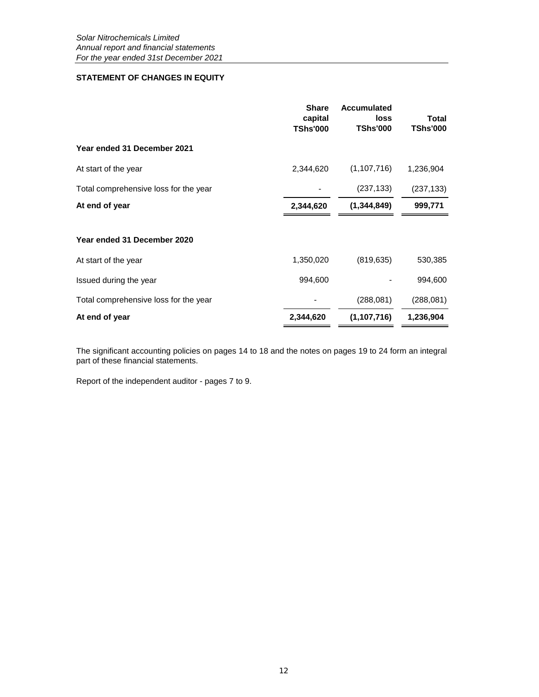## **STATEMENT OF CHANGES IN EQUITY**

|                                       | <b>Share</b><br>capital<br><b>TShs'000</b> | Accumulated<br>loss<br><b>TShs'000</b> | Total<br><b>TShs'000</b> |
|---------------------------------------|--------------------------------------------|----------------------------------------|--------------------------|
| Year ended 31 December 2021           |                                            |                                        |                          |
| At start of the year                  | 2,344,620                                  | (1,107,716)                            | 1,236,904                |
| Total comprehensive loss for the year |                                            | (237, 133)                             | (237, 133)               |
| At end of year                        | 2,344,620                                  | (1, 344, 849)                          | 999,771                  |
| Year ended 31 December 2020           |                                            |                                        |                          |
| At start of the year                  | 1,350,020                                  | (819, 635)                             | 530,385                  |
| Issued during the year                | 994,600                                    |                                        | 994,600                  |
| Total comprehensive loss for the year |                                            | (288, 081)                             | (288, 081)               |
| At end of year                        | 2,344,620                                  | (1,107,716)                            | 1,236,904                |

The significant accounting policies on pages 14 to 18 and the notes on pages 19 to 24 form an integral part of these financial statements.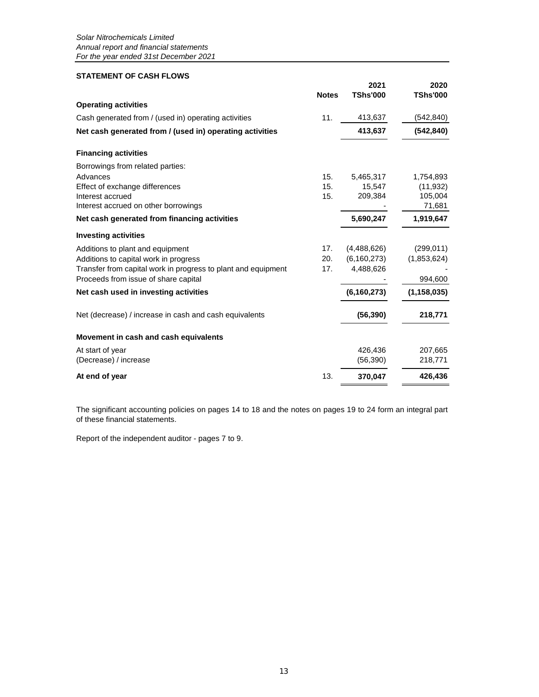### **STATEMENT OF CASH FLOWS**

|                                                               | <b>Notes</b> | 2021<br><b>TShs'000</b> | 2020<br><b>TShs'000</b> |
|---------------------------------------------------------------|--------------|-------------------------|-------------------------|
| <b>Operating activities</b>                                   |              |                         |                         |
| Cash generated from / (used in) operating activities          | 11.          | 413,637                 | (542, 840)              |
| Net cash generated from / (used in) operating activities      |              | 413,637                 | (542, 840)              |
| <b>Financing activities</b>                                   |              |                         |                         |
| Borrowings from related parties:                              |              |                         |                         |
| Advances                                                      | 15.          | 5,465,317               | 1,754,893               |
| Effect of exchange differences                                | 15.          | 15,547                  | (11, 932)               |
| Interest accrued                                              | 15.          | 209,384                 | 105,004                 |
| Interest accrued on other borrowings                          |              |                         | 71,681                  |
| Net cash generated from financing activities                  |              | 5,690,247               | 1,919,647               |
| <b>Investing activities</b>                                   |              |                         |                         |
| Additions to plant and equipment                              | 17.          | (4,488,626)             | (299, 011)              |
| Additions to capital work in progress                         | 20.          | (6,160,273)             | (1,853,624)             |
| Transfer from capital work in progress to plant and equipment | 17.          | 4,488,626               |                         |
| Proceeds from issue of share capital                          |              |                         | 994,600                 |
| Net cash used in investing activities                         |              | (6, 160, 273)           | (1, 158, 035)           |
| Net (decrease) / increase in cash and cash equivalents        |              | (56, 390)               | 218,771                 |
| Movement in cash and cash equivalents                         |              |                         |                         |
| At start of year                                              |              | 426,436                 | 207,665                 |
| (Decrease) / increase                                         |              | (56, 390)               | 218,771                 |
| At end of year                                                | 13.          | 370,047                 | 426,436                 |

The significant accounting policies on pages 14 to 18 and the notes on pages 19 to 24 form an integral part of these financial statements.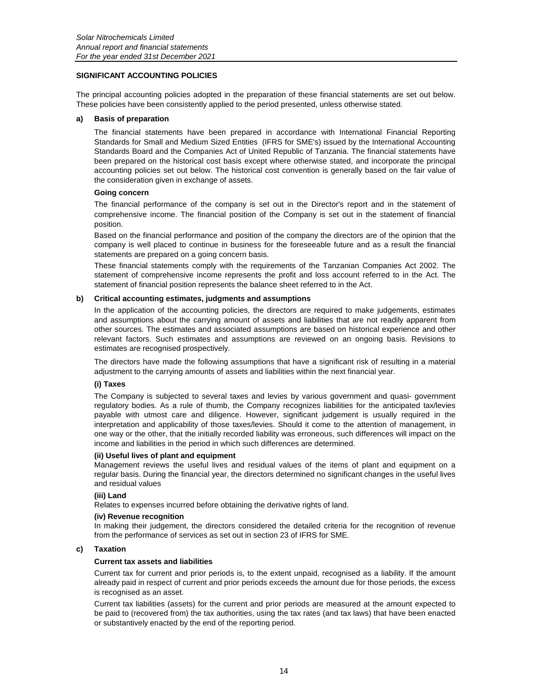### **SIGNIFICANT ACCOUNTING POLICIES**

The principal accounting policies adopted in the preparation of these financial statements are set out below. These policies have been consistently applied to the period presented, unless otherwise stated.

#### **a) Basis of preparation**

The financial statements have been prepared in accordance with International Financial Reporting Standards for Small and Medium Sized Entities (IFRS for SME's) issued by the International Accounting Standards Board and the Companies Act of United Republic of Tanzania. The financial statements have been prepared on the historical cost basis except where otherwise stated, and incorporate the principal accounting policies set out below. The historical cost convention is generally based on the fair value of the consideration given in exchange of assets.

#### **Going concern**

The financial performance of the company is set out in the Director's report and in the statement of comprehensive income. The financial position of the Company is set out in the statement of financial position.

Based on the financial performance and position of the company the directors are of the opinion that the company is well placed to continue in business for the foreseeable future and as a result the financial statements are prepared on a going concern basis.

These financial statements comply with the requirements of the Tanzanian Companies Act 2002. The statement of comprehensive income represents the profit and loss account referred to in the Act. The statement of financial position represents the balance sheet referred to in the Act.

#### **b) Critical accounting estimates, judgments and assumptions**

In the application of the accounting policies, the directors are required to make judgements, estimates and assumptions about the carrying amount of assets and liabilities that are not readily apparent from other sources. The estimates and associated assumptions are based on historical experience and other relevant factors. Such estimates and assumptions are reviewed on an ongoing basis. Revisions to estimates are recognised prospectively.

The directors have made the following assumptions that have a significant risk of resulting in a material adjustment to the carrying amounts of assets and liabilities within the next financial year.

### **(i) Taxes**

The Company is subjected to several taxes and levies by various government and quasi- government regulatory bodies. As a rule of thumb, the Company recognizes liabilities for the anticipated tax/levies payable with utmost care and diligence. However, significant judgement is usually required in the interpretation and applicability of those taxes/levies. Should it come to the attention of management, in one way or the other, that the initially recorded liability was erroneous, such differences will impact on the income and liabilities in the period in which such differences are determined.

#### **(ii) Useful lives of plant and equipment**

Management reviews the useful lives and residual values of the items of plant and equipment on a regular basis. During the financial year, the directors determined no significant changes in the useful lives and residual values

#### **(iii) Land**

Relates to expenses incurred before obtaining the derivative rights of land.

#### **(iv) Revenue recognition**

In making their judgement, the directors considered the detailed criteria for the recognition of revenue from the performance of services as set out in section 23 of IFRS for SME.

#### **c) Taxation**

#### **Current tax assets and liabilities**

Current tax for current and prior periods is, to the extent unpaid, recognised as a liability. If the amount already paid in respect of current and prior periods exceeds the amount due for those periods, the excess is recognised as an asset.

Current tax liabilities (assets) for the current and prior periods are measured at the amount expected to be paid to (recovered from) the tax authorities, using the tax rates (and tax laws) that have been enacted or substantively enacted by the end of the reporting period.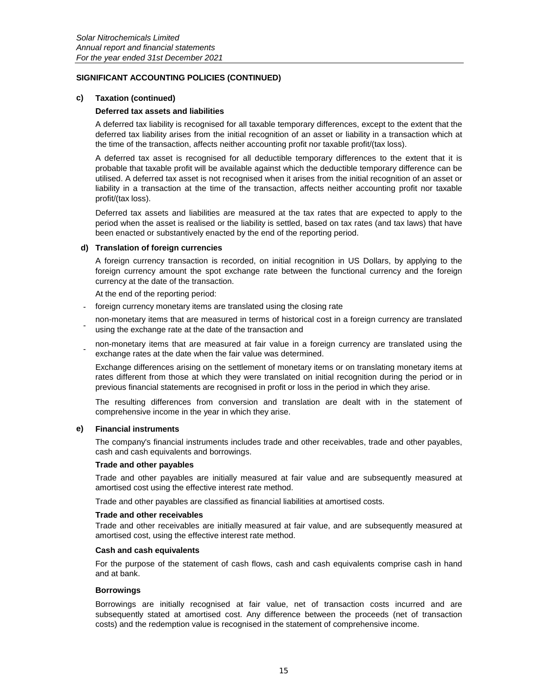#### **c) Taxation (continued)**

#### **Deferred tax assets and liabilities**

A deferred tax liability is recognised for all taxable temporary differences, except to the extent that the deferred tax liability arises from the initial recognition of an asset or liability in a transaction which at the time of the transaction, affects neither accounting profit nor taxable profit/(tax loss).

A deferred tax asset is recognised for all deductible temporary differences to the extent that it is probable that taxable profit will be available against which the deductible temporary difference can be utilised. A deferred tax asset is not recognised when it arises from the initial recognition of an asset or liability in a transaction at the time of the transaction, affects neither accounting profit nor taxable profit/(tax loss).

Deferred tax assets and liabilities are measured at the tax rates that are expected to apply to the period when the asset is realised or the liability is settled, based on tax rates (and tax laws) that have been enacted or substantively enacted by the end of the reporting period.

#### **d) Translation of foreign currencies**

A foreign currency transaction is recorded, on initial recognition in US Dollars, by applying to the foreign currency amount the spot exchange rate between the functional currency and the foreign currency at the date of the transaction.

At the end of the reporting period:

- foreign currency monetary items are translated using the closing rate
- non-monetary items that are measured in terms of historical cost in a foreign currency are translated using the exchange rate at the date of the transaction and

 non-monetary items that are measured at fair value in a foreign currency are translated using the exchange rates at the date when the fair value was determined.

Exchange differences arising on the settlement of monetary items or on translating monetary items at rates different from those at which they were translated on initial recognition during the period or in previous financial statements are recognised in profit or loss in the period in which they arise.

The resulting differences from conversion and translation are dealt with in the statement of comprehensive income in the year in which they arise.

#### **e) Financial instruments**

The company's financial instruments includes trade and other receivables, trade and other payables, cash and cash equivalents and borrowings.

#### **Trade and other payables**

Trade and other payables are initially measured at fair value and are subsequently measured at amortised cost using the effective interest rate method.

Trade and other payables are classified as financial liabilities at amortised costs.

#### **Trade and other receivables**

Trade and other receivables are initially measured at fair value, and are subsequently measured at amortised cost, using the effective interest rate method.

#### **Cash and cash equivalents**

For the purpose of the statement of cash flows, cash and cash equivalents comprise cash in hand and at bank.

#### **Borrowings**

Borrowings are initially recognised at fair value, net of transaction costs incurred and are subsequently stated at amortised cost. Any difference between the proceeds (net of transaction costs) and the redemption value is recognised in the statement of comprehensive income.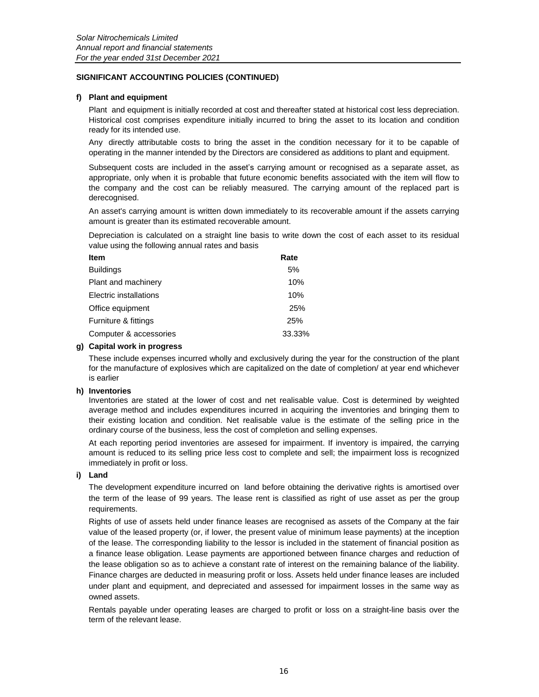### **f) Plant and equipment**

Plant and equipment is initially recorded at cost and thereafter stated at historical cost less depreciation. Historical cost comprises expenditure initially incurred to bring the asset to its location and condition ready for its intended use.

Any directly attributable costs to bring the asset in the condition necessary for it to be capable of operating in the manner intended by the Directors are considered as additions to plant and equipment.

Subsequent costs are included in the asset's carrying amount or recognised as a separate asset, as appropriate, only when it is probable that future economic benefits associated with the item will flow to the company and the cost can be reliably measured. The carrying amount of the replaced part is derecognised.

An asset's carrying amount is written down immediately to its recoverable amount if the assets carrying amount is greater than its estimated recoverable amount.

Depreciation is calculated on a straight line basis to write down the cost of each asset to its residual value using the following annual rates and basis

| <b>Item</b>            | Rate   |
|------------------------|--------|
| <b>Buildings</b>       | 5%     |
| Plant and machinery    | 10%    |
| Electric installations | 10%    |
| Office equipment       | 25%    |
| Furniture & fittings   | 25%    |
| Computer & accessories | 33.33% |

### **g) Capital work in progress**

These include expenses incurred wholly and exclusively during the year for the construction of the plant for the manufacture of explosives which are capitalized on the date of completion/ at year end whichever is earlier

### **h) Inventories**

Inventories are stated at the lower of cost and net realisable value. Cost is determined by weighted average method and includes expenditures incurred in acquiring the inventories and bringing them to their existing location and condition. Net realisable value is the estimate of the selling price in the ordinary course of the business, less the cost of completion and selling expenses.

At each reporting period inventories are assesed for impairment. If inventory is impaired, the carrying amount is reduced to its selling price less cost to complete and sell; the impairment loss is recognized immediately in profit or loss.

### **i) Land**

The development expenditure incurred on land before obtaining the derivative rights is amortised over the term of the lease of 99 years. The lease rent is classified as right of use asset as per the group requirements.

Rights of use of assets held under finance leases are recognised as assets of the Company at the fair value of the leased property (or, if lower, the present value of minimum lease payments) at the inception of the lease. The corresponding liability to the lessor is included in the statement of financial position as a finance lease obligation. Lease payments are apportioned between finance charges and reduction of the lease obligation so as to achieve a constant rate of interest on the remaining balance of the liability. Finance charges are deducted in measuring profit or loss. Assets held under finance leases are included under plant and equipment, and depreciated and assessed for impairment losses in the same way as owned assets.

Rentals payable under operating leases are charged to profit or loss on a straight-line basis over the term of the relevant lease.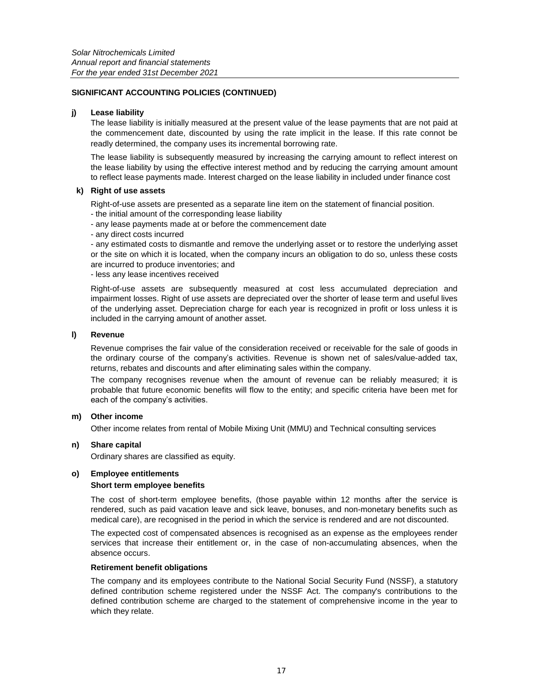### **j) Lease liability**

The lease liability is initially measured at the present value of the lease payments that are not paid at the commencement date, discounted by using the rate implicit in the lease. If this rate connot be readly determined, the company uses its incremental borrowing rate.

The lease liability is subsequently measured by increasing the carrying amount to reflect interest on the lease liability by using the effective interest method and by reducing the carrying amount amount to reflect lease payments made. Interest charged on the lease liability in included under finance cost

### **k) Right of use assets**

Right-of-use assets are presented as a separate line item on the statement of financial position.

- the initial amount of the corresponding lease liability
- any lease payments made at or before the commencement date
- any direct costs incurred

- any estimated costs to dismantle and remove the underlying asset or to restore the underlying asset or the site on which it is located, when the company incurs an obligation to do so, unless these costs are incurred to produce inventories; and

- less any lease incentives received

Right-of-use assets are subsequently measured at cost less accumulated depreciation and impairment losses. Right of use assets are depreciated over the shorter of lease term and useful lives of the underlying asset. Depreciation charge for each year is recognized in profit or loss unless it is included in the carrying amount of another asset.

### **l) Revenue**

Revenue comprises the fair value of the consideration received or receivable for the sale of goods in the ordinary course of the company's activities. Revenue is shown net of sales/value-added tax, returns, rebates and discounts and after eliminating sales within the company.

The company recognises revenue when the amount of revenue can be reliably measured; it is probable that future economic benefits will flow to the entity; and specific criteria have been met for each of the company's activities.

### **m) Other income**

Other income relates from rental of Mobile Mixing Unit (MMU) and Technical consulting services

### **n) Share capital**

Ordinary shares are classified as equity.

### **o) Employee entitlements**

### **Short term employee benefits**

The cost of short-term employee benefits, (those payable within 12 months after the service is rendered, such as paid vacation leave and sick leave, bonuses, and non-monetary benefits such as medical care), are recognised in the period in which the service is rendered and are not discounted.

The expected cost of compensated absences is recognised as an expense as the employees render services that increase their entitlement or, in the case of non-accumulating absences, when the absence occurs.

### **Retirement benefit obligations**

The company and its employees contribute to the National Social Security Fund (NSSF), a statutory defined contribution scheme registered under the NSSF Act. The company's contributions to the defined contribution scheme are charged to the statement of comprehensive income in the year to which they relate.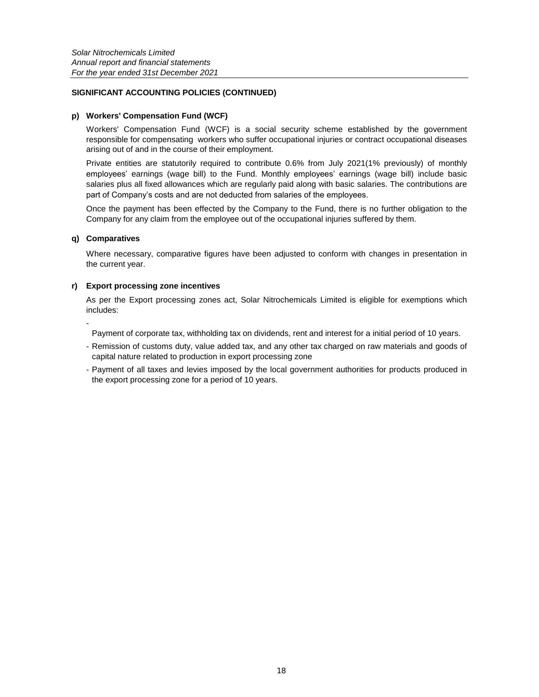### **p) Workers' Compensation Fund (WCF)**

Workers' Compensation Fund (WCF) is a social security scheme established by the government responsible for compensating workers who suffer occupational injuries or contract occupational diseases arising out of and in the course of their employment.

Private entities are statutorily required to contribute 0.6% from July 2021(1% previously) of monthly employees' earnings (wage bill) to the Fund. Monthly employees' earnings (wage bill) include basic salaries plus all fixed allowances which are regularly paid along with basic salaries. The contributions are part of Company's costs and are not deducted from salaries of the employees.

Once the payment has been effected by the Company to the Fund, there is no further obligation to the Company for any claim from the employee out of the occupational injuries suffered by them.

### **q) Comparatives**

-

Where necessary, comparative figures have been adjusted to conform with changes in presentation in the current year.

### **r) Export processing zone incentives**

As per the Export processing zones act, Solar Nitrochemicals Limited is eligible for exemptions which includes:

Payment of corporate tax, withholding tax on dividends, rent and interest for a initial period of 10 years.

- Remission of customs duty, value added tax, and any other tax charged on raw materials and goods of capital nature related to production in export processing zone
- Payment of all taxes and levies imposed by the local government authorities for products produced in the export processing zone for a period of 10 years.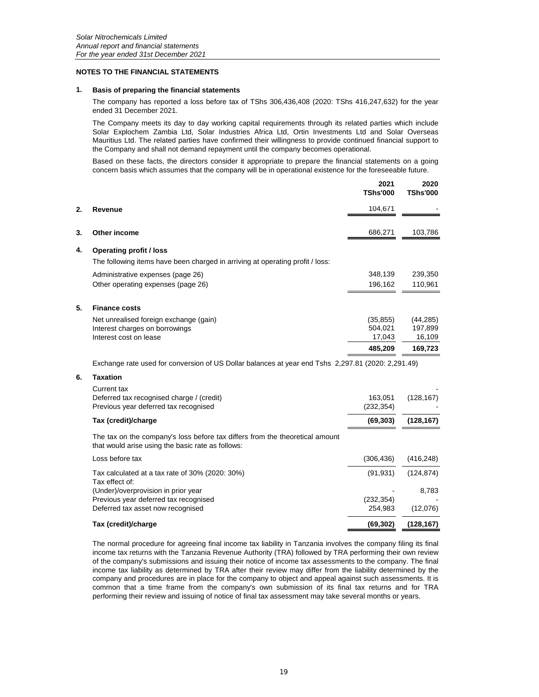#### **NOTES TO THE FINANCIAL STATEMENTS**

#### **1. Basis of preparing the financial statements**

The company has reported a loss before tax of TShs 306,436,408 (2020: TShs 416,247,632) for the year ended 31 December 2021.

The Company meets its day to day working capital requirements through its related parties which include Solar Explochem Zambia Ltd, Solar Industries Africa Ltd, Ortin Investments Ltd and Solar Overseas Mauritius Ltd. The related parties have confirmed their willingness to provide continued financial support to the Company and shall not demand repayment until the company becomes operational.

Based on these facts, the directors consider it appropriate to prepare the financial statements on a going concern basis which assumes that the company will be in operational existence for the foreseeable future.

|    |                                                                               | 2021<br><b>TShs'000</b> | 2020<br><b>TShs'000</b> |
|----|-------------------------------------------------------------------------------|-------------------------|-------------------------|
| 2. | Revenue                                                                       | 104,671                 |                         |
| 3. | Other income                                                                  | 686,271                 | 103,786                 |
| 4. | <b>Operating profit / loss</b>                                                |                         |                         |
|    | The following items have been charged in arriving at operating profit / loss: |                         |                         |
|    | Administrative expenses (page 26)                                             | 348,139                 | 239,350                 |
|    | Other operating expenses (page 26)                                            | 196,162                 | 110,961                 |
| 5. | <b>Finance costs</b>                                                          |                         |                         |
|    | Net unrealised foreign exchange (gain)                                        | (35, 855)               | (44, 285)               |
|    | Interest charges on borrowings                                                | 504.021                 | 197,899                 |
|    | Interest cost on lease                                                        | 17,043                  | 16,109                  |
|    |                                                                               | 485,209                 | 169,723                 |

Exchange rate used for conversion of US Dollar balances at year end Tshs 2,297.81 (2020: 2,291.49)

### **6. Taxation**

| 163,051<br>(232, 354) | (128, 167) |
|-----------------------|------------|
| (69, 303)             | (128, 167) |
|                       |            |
| (306,436)             | (416, 248) |
| (91,931)              | (124, 874) |
|                       | 8,783      |
| (232,354)             |            |
| 254.983               | (12,076)   |
|                       |            |

#### **Tax (credit)/charge (69,302) (128,167)**

The normal procedure for agreeing final income tax liability in Tanzania involves the company filing its final income tax returns with the Tanzania Revenue Authority (TRA) followed by TRA performing their own review of the company's submissions and issuing their notice of income tax assessments to the company. The final income tax liability as determined by TRA after their review may differ from the liability determined by the company and procedures are in place for the company to object and appeal against such assessments. It is common that a time frame from the company's own submission of its final tax returns and for TRA performing their review and issuing of notice of final tax assessment may take several months or years.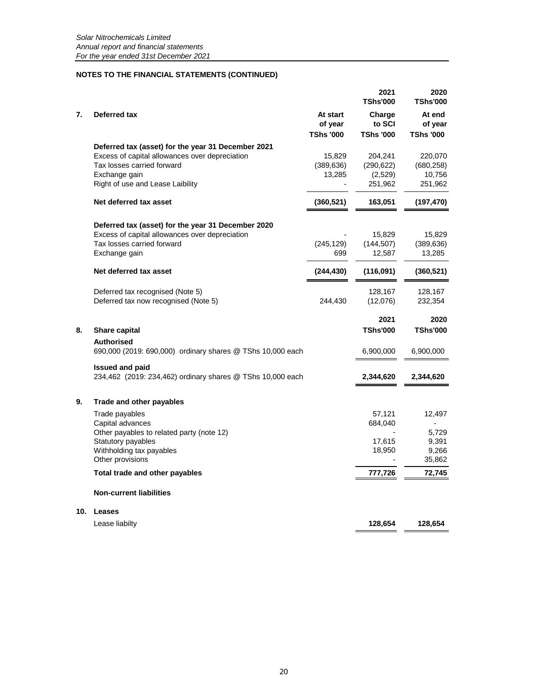|     |                                                                                      |                                         | 2021<br><b>TShs'000</b>              | 2020<br><b>TShs'000</b>               |
|-----|--------------------------------------------------------------------------------------|-----------------------------------------|--------------------------------------|---------------------------------------|
| 7.  | Deferred tax                                                                         | At start<br>of year<br><b>TShs '000</b> | Charge<br>to SCI<br><b>TShs '000</b> | At end<br>of year<br><b>TShs '000</b> |
|     | Deferred tax (asset) for the year 31 December 2021                                   |                                         |                                      |                                       |
|     | Excess of capital allowances over depreciation                                       | 15,829                                  | 204,241                              | 220,070                               |
|     | Tax losses carried forward                                                           | (389, 636)                              | (290, 622)                           | (680, 258)                            |
|     | Exchange gain                                                                        | 13,285                                  | (2,529)                              | 10,756                                |
|     | Right of use and Lease Laibility                                                     |                                         | 251,962                              | 251,962                               |
|     | Net deferred tax asset                                                               | (360, 521)                              | 163,051                              | (197, 470)                            |
|     | Deferred tax (asset) for the year 31 December 2020                                   |                                         |                                      |                                       |
|     | Excess of capital allowances over depreciation                                       |                                         | 15,829                               | 15,829                                |
|     | Tax losses carried forward                                                           | (245, 129)                              | (144, 507)                           | (389, 636)                            |
|     | Exchange gain                                                                        | 699                                     | 12,587                               | 13,285                                |
|     | Net deferred tax asset                                                               | (244, 430)                              | (116,091)                            | (360, 521)                            |
|     | Deferred tax recognised (Note 5)                                                     |                                         | 128,167                              | 128,167                               |
|     | Deferred tax now recognised (Note 5)                                                 | 244,430                                 | (12,076)                             | 232,354                               |
|     |                                                                                      |                                         | 2021                                 | 2020                                  |
| 8.  | Share capital                                                                        |                                         | <b>TShs'000</b>                      | <b>TShs'000</b>                       |
|     | <b>Authorised</b>                                                                    |                                         |                                      |                                       |
|     | 690,000 (2019: 690,000) ordinary shares @ TShs 10,000 each                           |                                         | 6,900,000                            | 6,900,000                             |
|     | <b>Issued and paid</b><br>234,462 (2019: 234,462) ordinary shares @ TShs 10,000 each |                                         | 2,344,620                            | 2,344,620                             |
| 9.  | Trade and other payables                                                             |                                         |                                      |                                       |
|     | Trade payables                                                                       |                                         | 57,121                               | 12,497                                |
|     | Capital advances                                                                     |                                         | 684,040                              |                                       |
|     | Other payables to related party (note 12)                                            |                                         |                                      | 5,729                                 |
|     | Statutory payables                                                                   |                                         | 17,615                               | 9,391                                 |
|     | Withholding tax payables<br>Other provisions                                         |                                         | 18,950                               | 9,266<br>35,862                       |
|     | Total trade and other payables                                                       |                                         | 777,726                              | 72,745                                |
|     | <b>Non-current liabilities</b>                                                       |                                         |                                      |                                       |
| 10. | Leases                                                                               |                                         |                                      |                                       |
|     | Lease liabilty                                                                       |                                         | 128,654                              | 128,654                               |
|     |                                                                                      |                                         |                                      |                                       |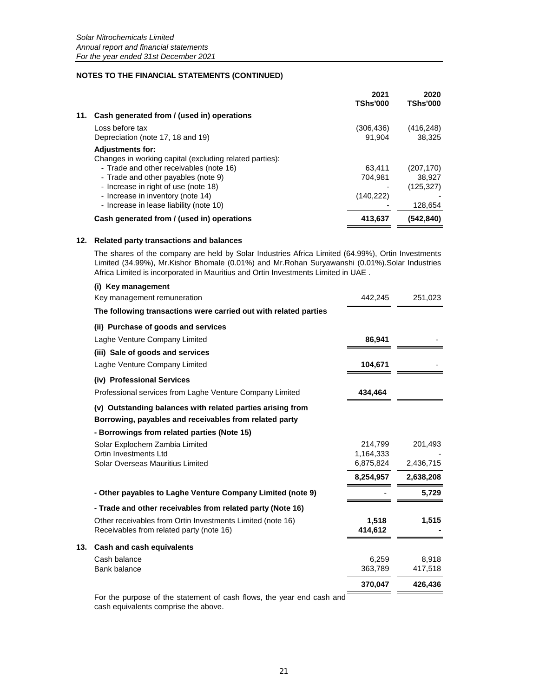|     |                                                         | 2021<br><b>TShs'000</b> | 2020<br><b>TShs'000</b> |
|-----|---------------------------------------------------------|-------------------------|-------------------------|
| 11. | Cash generated from / (used in) operations              |                         |                         |
|     | Loss before tax                                         | (306, 436)              | (416,248)               |
|     | Depreciation (note 17, 18 and 19)                       | 91.904                  | 38.325                  |
|     | <b>Adjustments for:</b>                                 |                         |                         |
|     | Changes in working capital (excluding related parties): |                         |                         |
|     | - Trade and other receivables (note 16)                 | 63.411                  | (207, 170)              |
|     | - Trade and other payables (note 9)                     | 704.981                 | 38.927                  |
|     | - Increase in right of use (note 18)                    |                         | (125,327)               |
|     | - Increase in inventory (note 14)                       | (140, 222)              |                         |
|     | - Increase in lease liability (note 10)                 |                         | 128,654                 |
|     | Cash generated from / (used in) operations              | 413,637                 | (542,840)               |

#### **12. Related party transactions and balances**

**13.** 

The shares of the company are held by Solar Industries Africa Limited (64.99%), Ortin Investments Limited (34.99%), Mr.Kishor Bhomale (0.01%) and Mr.Rohan Suryawanshi (0.01%).Solar Industries Africa Limited is incorporated in Mauritius and Ortin Investments Limited in UAE .

| (i) Key management                                               |           |           |
|------------------------------------------------------------------|-----------|-----------|
| Key management remuneration                                      | 442,245   | 251,023   |
| The following transactions were carried out with related parties |           |           |
| (ii) Purchase of goods and services                              |           |           |
| Laghe Venture Company Limited                                    | 86,941    |           |
| (iii) Sale of goods and services                                 |           |           |
| Laghe Venture Company Limited                                    | 104,671   |           |
| (iv) Professional Services                                       |           |           |
| Professional services from Laghe Venture Company Limited         | 434,464   |           |
| (v) Outstanding balances with related parties arising from       |           |           |
| Borrowing, payables and receivables from related party           |           |           |
| - Borrowings from related parties (Note 15)                      |           |           |
| Solar Explochem Zambia Limited                                   | 214,799   | 201,493   |
| Ortin Investments Ltd<br>Solar Overseas Mauritius Limited        | 1,164,333 |           |
|                                                                  | 6,875,824 | 2,436,715 |
|                                                                  | 8,254,957 | 2,638,208 |
| - Other payables to Laghe Venture Company Limited (note 9)       |           | 5,729     |
| - Trade and other receivables from related party (Note 16)       |           |           |
| Other receivables from Ortin Investments Limited (note 16)       | 1,518     | 1,515     |
| Receivables from related party (note 16)                         | 414,612   |           |
| Cash and cash equivalents                                        |           |           |
| Cash balance                                                     | 6,259     | 8,918     |
| Bank balance                                                     | 363,789   | 417,518   |
|                                                                  | 370,047   | 426,436   |

For the purpose of the statement of cash flows, the year end cash and cash equivalents comprise the above.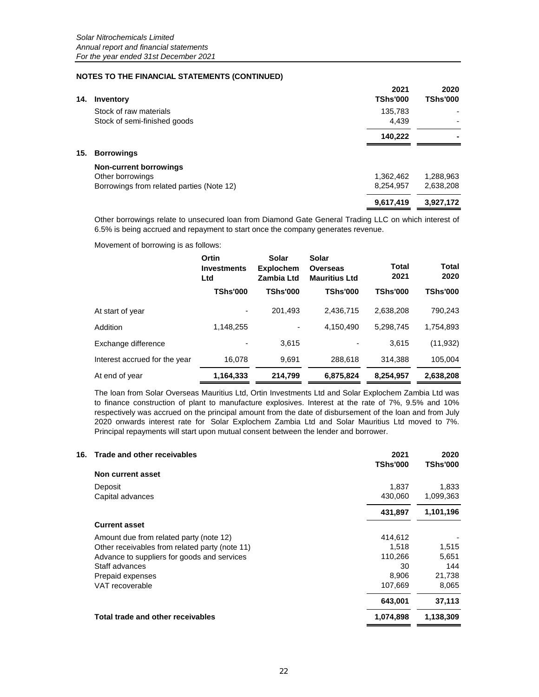| 14. | Inventory                                 | 2021<br><b>TShs'000</b> | 2020<br><b>TShs'000</b> |
|-----|-------------------------------------------|-------------------------|-------------------------|
|     | Stock of raw materials                    | 135,783                 |                         |
|     | Stock of semi-finished goods              | 4.439                   |                         |
|     |                                           | 140,222                 |                         |
| 15. | <b>Borrowings</b>                         |                         |                         |
|     | <b>Non-current borrowings</b>             |                         |                         |
|     | Other borrowings                          | 1,362,462               | 1,288,963               |
|     | Borrowings from related parties (Note 12) | 8,254,957               | 2,638,208               |
|     |                                           | 9,617,419               | 3,927,172               |

Other borrowings relate to unsecured loan from Diamond Gate General Trading LLC on which interest of 6.5% is being accrued and repayment to start once the company generates revenue.

Movement of borrowing is as follows:

|                               | Ortin<br><b>Investments</b><br>Ltd | Solar<br><b>Explochem</b><br>Zambia Ltd | Solar<br><b>Overseas</b><br><b>Mauritius Ltd</b> | Total<br>2021   | <b>Total</b><br>2020 |
|-------------------------------|------------------------------------|-----------------------------------------|--------------------------------------------------|-----------------|----------------------|
|                               | <b>TShs'000</b>                    | <b>TShs'000</b>                         | <b>TShs'000</b>                                  | <b>TShs'000</b> | <b>TShs'000</b>      |
| At start of year              | ٠                                  | 201.493                                 | 2.436.715                                        | 2.638.208       | 790,243              |
| Addition                      | 1,148,255                          | ۰                                       | 4.150.490                                        | 5.298.745       | 1,754,893            |
| Exchange difference           |                                    | 3,615                                   |                                                  | 3.615           | (11, 932)            |
| Interest accrued for the year | 16,078                             | 9,691                                   | 288.618                                          | 314.388         | 105,004              |
| At end of year                | 1,164,333                          | 214.799                                 | 6,875,824                                        | 8,254,957       | 2,638,208            |

The loan from Solar Overseas Mauritius Ltd, Ortin Investments Ltd and Solar Explochem Zambia Ltd was to finance construction of plant to manufacture explosives. Interest at the rate of 7%, 9.5% and 10% respectively was accrued on the principal amount from the date of disbursement of the loan and from July 2020 onwards interest rate for Solar Explochem Zambia Ltd and Solar Mauritius Ltd moved to 7%. Principal repayments will start upon mutual consent between the lender and borrower.

| Trade and other receivables<br>16.             | 2021<br>TShs'000 | 2020<br><b>TShs'000</b> |
|------------------------------------------------|------------------|-------------------------|
| Non current asset                              |                  |                         |
| Deposit                                        | 1,837            | 1,833                   |
| Capital advances                               | 430,060          | 1,099,363               |
|                                                | 431,897          | 1,101,196               |
| <b>Current asset</b>                           |                  |                         |
| Amount due from related party (note 12)        | 414,612          |                         |
| Other receivables from related party (note 11) | 1.518            | 1,515                   |
| Advance to suppliers for goods and services    | 110,266          | 5,651                   |
| Staff advances                                 | 30               | 144                     |
| Prepaid expenses                               | 8,906            | 21,738                  |
| VAT recoverable                                | 107.669          | 8.065                   |
|                                                | 643,001          | 37,113                  |
| Total trade and other receivables              | 1,074,898        | 1,138,309               |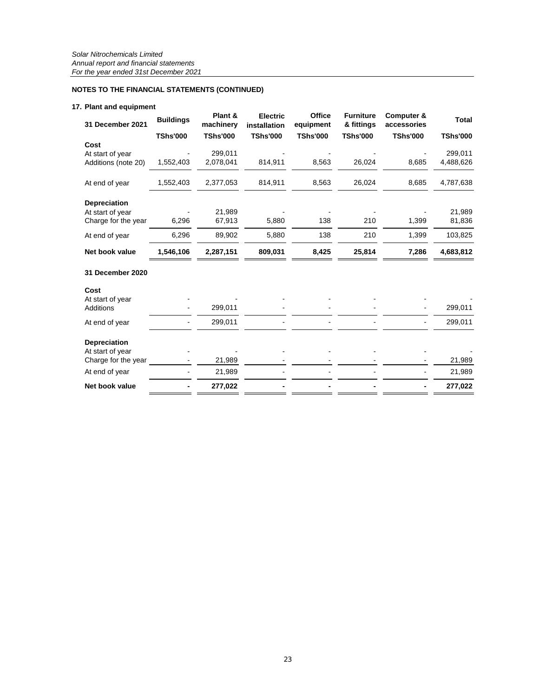### **17. Plant and equipment**

| 31 December 2021                        | <b>Buildings</b> | Plant &<br>machinery | <b>Electric</b><br>installation | <b>Office</b><br>equipment | <b>Furniture</b><br>& fittings | Computer &<br>accessories | <b>Total</b>         |
|-----------------------------------------|------------------|----------------------|---------------------------------|----------------------------|--------------------------------|---------------------------|----------------------|
|                                         | <b>TShs'000</b>  | <b>TShs'000</b>      | <b>TShs'000</b>                 | <b>TShs'000</b>            | <b>TShs'000</b>                | <b>TShs'000</b>           | <b>TShs'000</b>      |
| Cost                                    |                  |                      |                                 |                            |                                |                           |                      |
| At start of year<br>Additions (note 20) | 1,552,403        | 299,011<br>2,078,041 | 814,911                         | 8,563                      | 26,024                         | 8,685                     | 299,011<br>4,488,626 |
|                                         |                  |                      |                                 |                            |                                |                           |                      |
| At end of year                          | 1,552,403        | 2,377,053            | 814,911                         | 8,563                      | 26,024                         | 8,685                     | 4,787,638            |
| <b>Depreciation</b>                     |                  |                      |                                 |                            |                                |                           |                      |
| At start of year                        |                  | 21,989               |                                 |                            |                                |                           | 21,989               |
| Charge for the year                     | 6,296            | 67,913               | 5,880                           | 138                        | 210                            | 1,399                     | 81,836               |
| At end of year                          | 6,296            | 89,902               | 5,880                           | 138                        | 210                            | 1,399                     | 103,825              |
| Net book value                          | 1,546,106        | 2,287,151            | 809,031                         | 8,425                      | 25,814                         | 7,286                     | 4,683,812            |
| 31 December 2020                        |                  |                      |                                 |                            |                                |                           |                      |
| Cost                                    |                  |                      |                                 |                            |                                |                           |                      |
| At start of year                        |                  |                      |                                 |                            |                                |                           |                      |
| Additions                               |                  | 299,011              |                                 |                            |                                |                           | 299,011              |
| At end of year                          |                  | 299,011              |                                 |                            |                                |                           | 299,011              |
| <b>Depreciation</b>                     |                  |                      |                                 |                            |                                |                           |                      |
| At start of year<br>Charge for the year |                  | 21,989               |                                 |                            |                                |                           | 21,989               |
| At end of year                          |                  | 21,989               |                                 |                            |                                |                           | 21,989               |
| Net book value                          |                  | 277,022              |                                 |                            |                                |                           | 277,022              |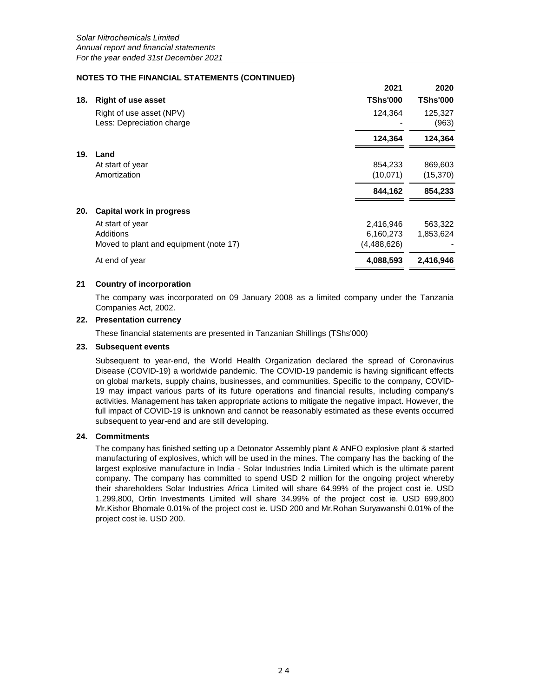|     |                                                       | 2021            | 2020             |
|-----|-------------------------------------------------------|-----------------|------------------|
| 18. | <b>Right of use asset</b>                             | <b>TShs'000</b> | <b>TShs'000</b>  |
|     | Right of use asset (NPV)<br>Less: Depreciation charge | 124,364         | 125,327<br>(963) |
|     |                                                       | 124,364         | 124,364          |
| 19. | Land                                                  |                 |                  |
|     | At start of year                                      | 854,233         | 869,603          |
|     | Amortization                                          | (10, 071)       | (15, 370)        |
|     |                                                       | 844.162         | 854,233          |
| 20. | Capital work in progress                              |                 |                  |
|     | At start of year                                      | 2,416,946       | 563,322          |
|     | Additions                                             | 6,160,273       | 1,853,624        |
|     | Moved to plant and equipment (note 17)                | (4,488,626)     |                  |
|     | At end of year                                        | 4,088,593       | 2,416,946        |

### **21 Country of incorporation**

The company was incorporated on 09 January 2008 as a limited company under the Tanzania Companies Act, 2002.

### **22. Presentation currency**

These financial statements are presented in Tanzanian Shillings (TShs'000)

### **23. Subsequent events**

Subsequent to year-end, the World Health Organization declared the spread of Coronavirus Disease (COVID-19) a worldwide pandemic. The COVID-19 pandemic is having significant effects on global markets, supply chains, businesses, and communities. Specific to the company, COVID-19 may impact various parts of its future operations and financial results, including company's activities. Management has taken appropriate actions to mitigate the negative impact. However, the full impact of COVID-19 is unknown and cannot be reasonably estimated as these events occurred subsequent to year-end and are still developing.

### **24. Commitments**

The company has finished setting up a Detonator Assembly plant & ANFO explosive plant & started manufacturing of explosives, which will be used in the mines. The company has the backing of the largest explosive manufacture in India - Solar Industries India Limited which is the ultimate parent company. The company has committed to spend USD 2 million for the ongoing project whereby their shareholders Solar Industries Africa Limited will share 64.99% of the project cost ie. USD 1,299,800, Ortin Investments Limited will share 34.99% of the project cost ie. USD 699,800 Mr.Kishor Bhomale 0.01% of the project cost ie. USD 200 and Mr.Rohan Suryawanshi 0.01% of the project cost ie. USD 200.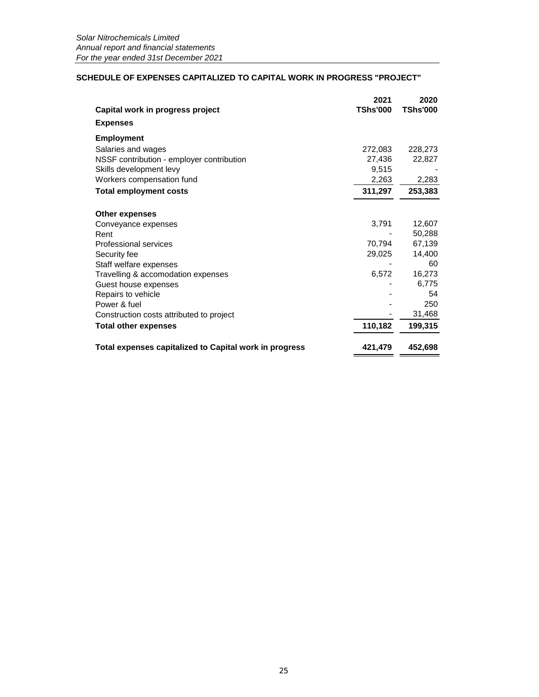### **SCHEDULE OF EXPENSES CAPITALIZED TO CAPITAL WORK IN PROGRESS "PROJECT"**

| Capital work in progress project                       | 2021<br><b>TShs'000</b> | 2020<br><b>TShs'000</b> |
|--------------------------------------------------------|-------------------------|-------------------------|
|                                                        |                         |                         |
| <b>Expenses</b>                                        |                         |                         |
| <b>Employment</b>                                      |                         |                         |
| Salaries and wages                                     | 272,083                 | 228,273                 |
| NSSF contribution - employer contribution              | 27,436                  | 22,827                  |
| Skills development levy                                | 9,515                   |                         |
| Workers compensation fund                              | 2,263                   | 2,283                   |
| <b>Total employment costs</b>                          | 311,297                 | 253,383                 |
| <b>Other expenses</b>                                  |                         |                         |
| Conveyance expenses                                    | 3,791                   | 12,607                  |
| Rent                                                   |                         | 50,288                  |
| Professional services                                  | 70,794                  | 67,139                  |
| Security fee                                           | 29,025                  | 14,400                  |
| Staff welfare expenses                                 |                         | 60                      |
| Travelling & accomodation expenses                     | 6,572                   | 16,273                  |
| Guest house expenses                                   |                         | 6,775                   |
| Repairs to vehicle                                     |                         | 54                      |
| Power & fuel                                           |                         | 250                     |
| Construction costs attributed to project               |                         | 31,468                  |
| <b>Total other expenses</b>                            | 110,182                 | 199,315                 |
| Total expenses capitalized to Capital work in progress | 421,479                 | 452,698                 |